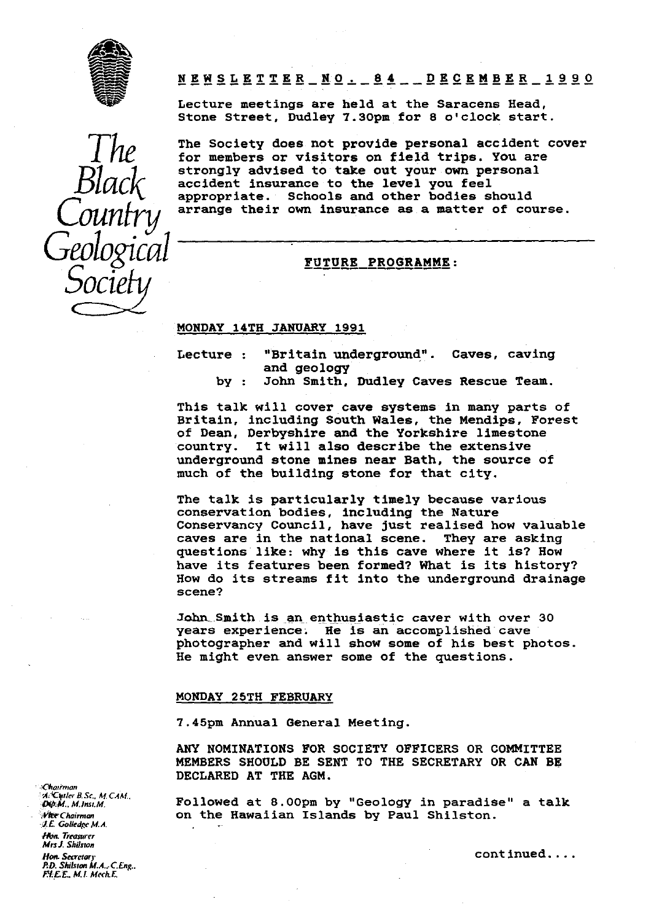

*The*

*Black*

*Country*

*Geological Rlack*<br>*Country*<br>*Society*<br>Society

**NEWSLETTER\_ N.O. 84 DECEMBER \_1990**

Lecture meetings are held at the Saracens Head, Stone Street, Dudley 7.30pm for 8 o'clock start.

The Society does not provide personal accident cover for members or visitors on field trips. You are strongly advised to take out your own personal accident insurance to the **level you feel** appropriate. Schools and other bodies should arrange their own insurance as a matter of course.

### FUTURE PROGRAMME:

### MONDAY 14TH JANUARY 1991

- Lecture : "Britain underground". Caves, caving and geology
	- by : John Smith, Dudley Caves Rescue Team.

This talk will cover cave systems in many parts of Britain, including South Wales, the Mendips, Forest of Dean, Derbyshire and the Yorkshire limestone<br>country. It will also describe the extensive It will also describe the extensive underground stone mines near Bath, the source of much of the building stone for that city.

The talk is particularly timely because various conservation bodies, including the Nature Conservancy Council, have just realised how valuable caves are in the national scene. They are asking questions like: why is this cave where it **is?** How have its features been formed? What is its history? How do its streams fit into the underground drainage scene?

John Smith is an enthusiastic caver with over 30 years experience: He is an accomplished cave photographer and will show some of his best photos. He might even answer some of the questions.

### MONDAY 25TH FEBRUARY

7.45pm Annual General Meeting.

ANY NOMINATIONS FOR SOCIETY OFFICERS OR COMMITTEE MEMBERS SHOULD BE SENT TO THE SECRETARY OR CAN BE DECLARED AT THE AGM.

*Dip.M., M.Inst.M.* **Followed at 8.00pm by "Geology in paradise" a talk**<br>*We Chairman* **by Source Conduct Conduct Conduct Conduct Conduct Conduct Conduct Conduct Conduct Conduct Conduct Conduct Conduct Conduct Conduct Cond** on the Hawaiian Islands by Paul Shilston.

*C ,airman A;4COder B. Sc., Af. CAAf., I.E. Gulledge M.A. Mm. Treasurer Mrsl. Skilsron Hon. Secretary* continued ... *P.U.* Shilsron M.A.: *CEng.. F.I. I. ML MechE*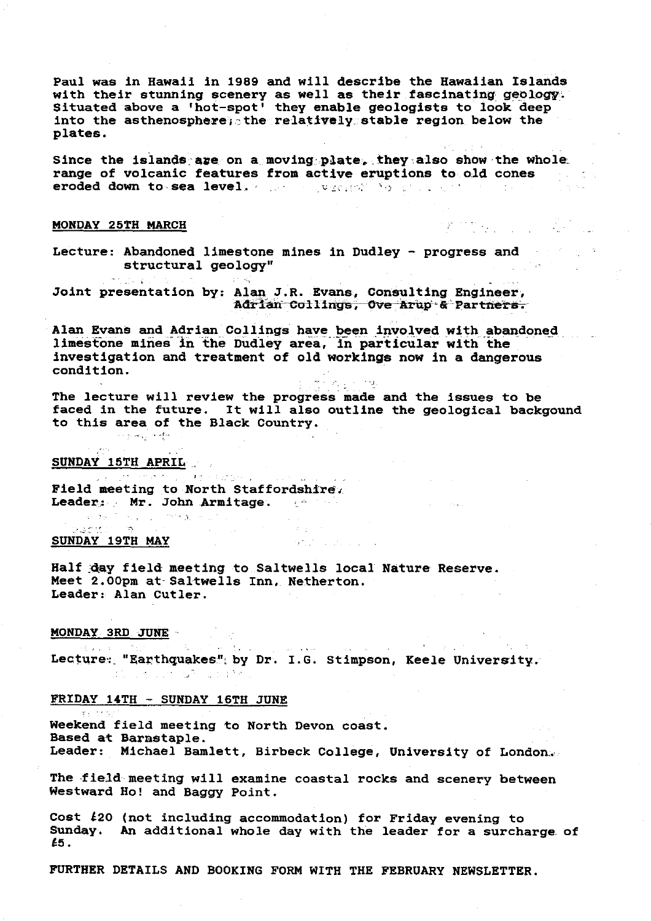Paul was in Hawaii in 1989 and will describe the Hawaiian Islands with their *stunning* scenery as well as their fascinating geology: Situated above a 'hot-spot' they enable geologists to look deep into the asthenosphere, the relatively stable region below the plates.

Since the islands are on a moving plate, they also show the whole range of volcanic features from active eruptions to old cones eroded down to . .sea level. :,•;`

### MONDAY 25TH MARCH

mento de

Lecture: Abandoned limestone mines in Dudley - progress and structural geology"

Joint presentation by: Alan J.R. Evans, Consulting Engineer, Adrian Collings, Ove Arup & Partners.

Alan Evans and Adrian Collings have been involved with abandoned limestone mines *in* the Dudley area, in particular with the *investigation and* treatment of *old* workings now In a dangerous condition.

The lecture will review the progress made and the issues to be faced in the future. It will also outline the geological backgound to this area *of* the Black Country.

ig in maj.

## SUNDAY 15TH APRIL

Field meeting to North Staffordshire. Leader: Mr. John Armitage.<br>Exclusive and the second service of the service of the service of the service of the service of the service of the service of the service of the service of the service of the service of the servi

and the service of the company of the company of

### SUNDAY 19TH MAY

.<br>Saad titul

**Half Jay field- meeting.to..Saltwells local Nature Reserve.** Meet 2.00pm at Saltwells Inn, Netherton. Leader: Alan Cutler.

### MONDAY 3RD. JUNE

 $\mathcal{O}(\log n)$  . The mass  $\mathcal{O}(\log n)$  $\alpha$  ,  $\beta$  ,  $\Delta\phi = 1/2$  , and  $\phi$ Lecture: "Earthquakes"; by Dr. I.G. Stimpson, Keele University. dia cancer of costs.

 $\mathcal{D}^{\text{c}}\rightarrow\mathcal{D}$ 

 $\label{eq:3.1} \mathcal{L}(\mathcal{L}^{\text{max}}_{\text{max}}) = \mathcal{L}(\mathcal{L}^{\text{max}}_{\text{max}})$ 

### FRIDAY 14TH - SUNDAY 16TH JUNE

Weekend field meeting to North Devon coast. Based at Barnstaple. Leader: Michael Bamlett, Birbeck College, University of London:..

The field meeting will examine coastal rocks and scenery between Westward Ho! and Baggy Point.

Cost  $\ell$ 20 (not including accommodation) for Friday evening to Sunday. An additional whole day with the leader for a surcharge. of (5.

FURTHER DETAILS AND BOOKING FORM WITH THE FEBRUARY NEWSLETTER.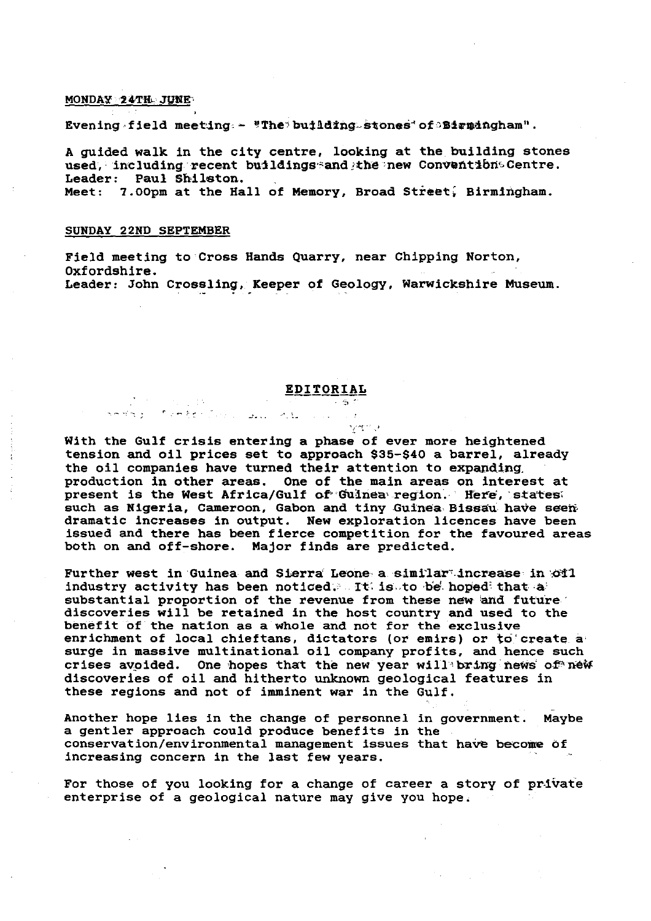### MONDAY 24TH JUNE

Evening field meeting - "The building stones of Birmingham".

A guided walk in the city centre, looking at the building stones used, including recent buildings and the new Conventibn Centre. Leader: Paul Shilaton. Meet: 7.00pm at the Hall of Memory, Broad Street, Birmingham.

#### SUNDAY 22ND SEPTEMBER

 $\mathcal{F}=\mathcal{F}$ 

 $\mathcal{L}^{\text{max}}$  and  $\mathcal{L}^{\text{max}}$ 

Field meeting to Cross Hands Quarry, near Chipping Norton, Oxfordshire. Leader: John Crossling, Keeper of Geology, Warwickshire Museum.

# **EDITORIAL**

szept ().

With the Gulf crisis entering a phase of ever more heightened tension and oil prices set to approach \$35-\$40 a barrel, already the oil companies have turned their attention to expanding, production in other areas. One of the main areas on interest at present is the West Africa/Gulf of Guinea region. Here, states, such as Nigeria, Cameroon, Gabon and tiny Guinea-Bissau have seendramatic increases in output. New exploration licences have been issued and there has been fierce competition for the favoured areas both on and off-shore. Major finds are predicted.

Further west in Guinea and Sierra Leone a similar increase in '011 industry activity has been noticed: It: is to be hoped that a substantial proportion of the revenue from these new and future' discoveries will be retained in the host country and used to the benefit of the nation as a whole and not for the exclusive enrichment of local chieftans, dictators (or emirs) or to create a surge in massive multinational oil company profits, and hence such crises avoided. One hopes that the new year will bring news of new discoveries of oil and hitherto unknown geological features in these regions and not of imminent war in the Gulf.

Another hope lies in the change of personnel in government. Maybe a gentler approach could produce benefits in the conservation/environmental management issues that have become of Increasing concern in the last few years.

For those of you looking for a change of career a story of private enterprise of a geological nature may give you hope.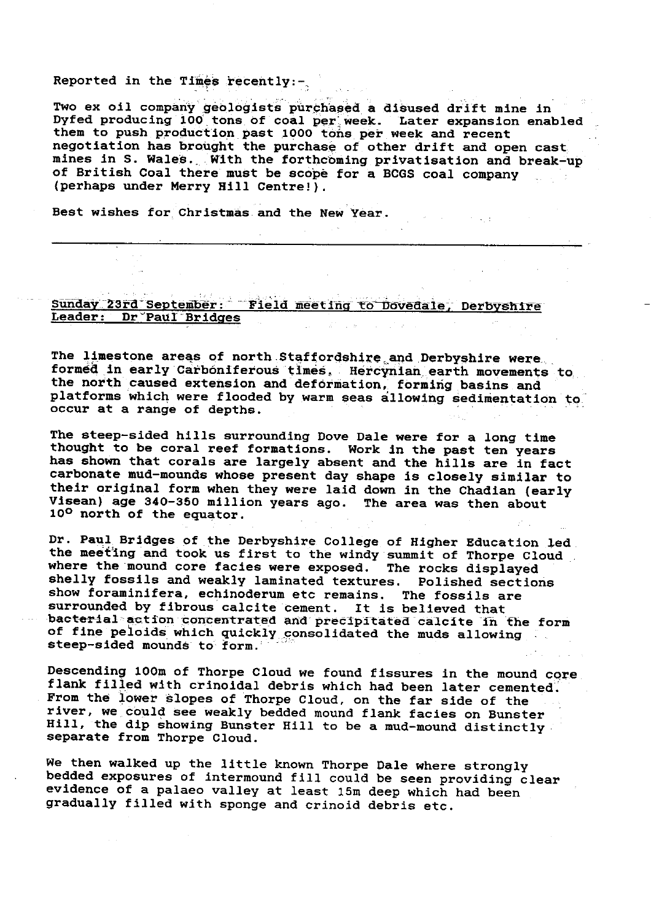## Reported in the Times recently:-,

Two ex oil company geologists purchased a disused drift mine in Dyfed producing 100 tons of coal per week. Later expansion enabled them to push production past 1000 tons per week and recent negotiation has brought the purchase of other drift and open cast.. mines in S. Wales. With the forthcoming privatisation and break-up of British Coal there must be scope for a BCGS coal company (perhaps under Merry Hill Centre!).

Best wishes for Christmas and the New year.

# ay 23rd September: Field meeting to Dovedale, Leader: Dr Paul Bridges

The limestone areas of north Staffordshire and Derbyshire were. formed in early Carboniferous times, Hercynian :earth *movements* to. the north caused extension and deformation, forming basins and platforms which were flooded by warm seas allowing sedimentation to occur at a range of depths.

The steep-sided hills surrounding Dove Dale were for a long time thought to be coral reef formations. Work in the past ten years has shown that corals are largely absent and the hills are in fact carbonate mud-mounds whose present day shape is closely **similar** to their original form when they were laid down in the Chadian (early Visean) age 340-350 million years ago. The area was then about <sup>10</sup><sup>0</sup> north of the equator.

Dr. Paul Bridges of the Derbyshire College of Higher Education led the meeting and took us first to the windy summit of Thorpe Cloud where the mound core facies were exposed. The rocks displayed shelly fossils and weakly laminated textures. Polished sections show foraminifera, echinoderum etc remains. The fossils are surrounded by fibrous calcite cement. It is believed that bacterial action concentrated and precipitated calcite in the form of fine peloids which quickly consolidated the muds allowing steep-sided mounds to form.

Descending 100m of Thorpe Cloud we found fissures in the mound core. flank filled with crinoidal debris which had been later cemented. From the lower slopes of Thorpe Cloud, on the far side of the river, we could see weakly bedded mound flank facies on Bunster Hill, the dip showing Bunster Hill to be a mud-mound distinctly. separate from Thorpe Cloud.

We then walked up the little known Thorpe Dale where strongly bedded exposures of intermound fill could be seen providing clear evidence of a palaeo valley at least 15m deep which had been gradually filled with sponge and crinoid debris etc.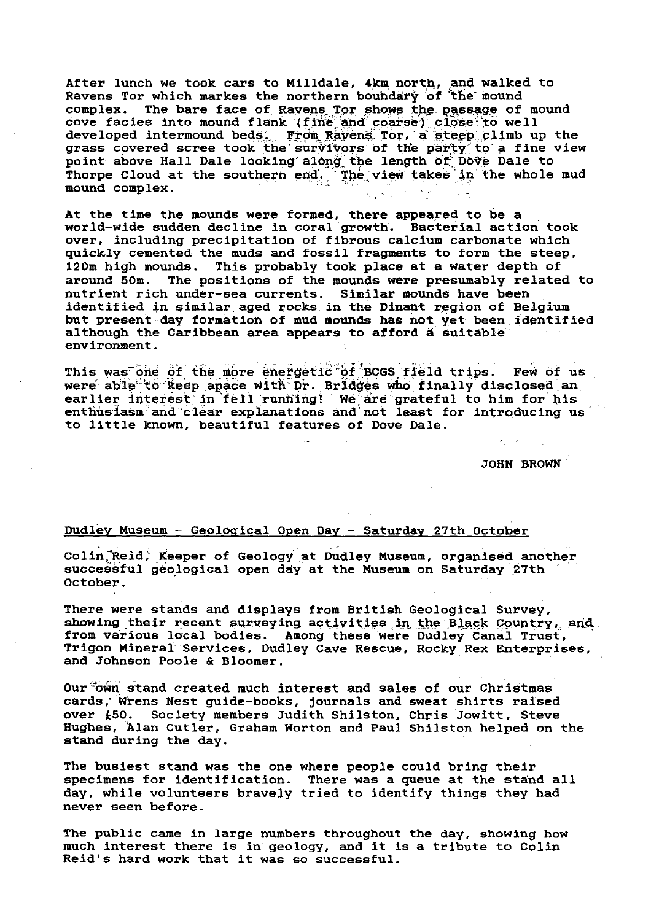After lunch we took cars to Milldale, 4km north, and walked to Ravens Tor which markes the northern boundary of the mound complex. The bare face of Ravens Tor shows the passage of mound cove facies into mound flank (fine and coarse) close to well developed intermound beds. From Ravens Tor, a steep climb up the grass covered scree took the survivors of the party to a fine view point above Hall Dale looking along the length of Dove Dale to Thorpe Cloud at the southern end. The view takes in the whole mud mound complex.

At the time the mounds were formed, there appeared to be a world-wide sudden decline in coral growth. Bacterial action tool over, including precipitation of fibrous calcium carbonate which quickly cemented the muds and fossil fragments to form the steep, 120m high mounds. This probably took place at a water depth of around 50m. The positions of the mounds were presumably related The positions of the mounds were presumably related to nutrient rich under-sea currents. Similar mounds have been identified in similar aged rocks in the Dinant region of Belgium but present day formation of mud mounds has not yet been, identified although the Caribbean area appears to afford a suitable environment.

This was one of the more energetic of BCGS field trips. Few of us were able to keep apace with Dr. Bridges who finally disclosed an. earlier interest in fell running!'' We are grateful to him for his  $enthu$ s $t$ asm and clear explanations and not least for introducing us to little known, beautiful features of Dove Dale.

> $\mathcal{C}_1 \subset \mathcal{C}_1$  ,  $\mathcal{C}_2 \subset \mathcal{C}_2$ JOHN BROWN

# Dudley Museum - Geological Open Day - Saturday 27th October

Colin<sup>3</sup>Reid, Keeper of Geology at Dudley Museum, organised another successful geological open day at the Museum on Saturday 27th October.

There were stands and displays from British Geological Survey, showing their recent surveying activities in the Black Country, and from various local bodies. Among these were Dudley Canal Trust, Trigon Mineral Services, Dudley Cave Rescue, Rocky Rex Enterprises, and Johnson Poole & Bloomer.

Our own stand created much interest and sales of our Christmas cards,' Wrens Nest guide-books, journals and sweat shirts raised over £50. Society members Judith Shilston, Chris Jowitt, Steve Hughes, Alan Cutler, Graham Worton and Paul Shilston helped on the stand during the day.

The busiest stand was the one where people could bring their specimens for identification. There was a queue at the stand all day, while volunteers bravely tried to identify things they had never seen before.

The public came in large numbers throughout the day, showing how much interest there is in geology, and it is a tribute to Colin Reid's hard work that it was so successful.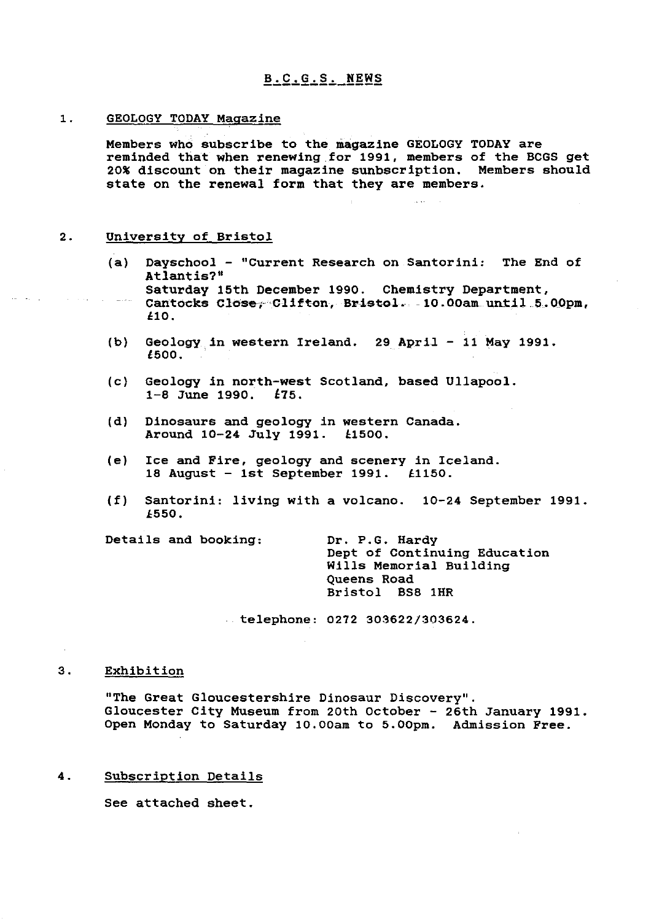### 1. GEOLOGY TODAY Magazine

Members who subscribe to the magazine GEOLOGY TODAY are reminded that when renewing for 1991, members of the BCGS get 20% discount on their magazine sunbscription. Members should state on the renewal form that they are members.

### 2. University of Bristol

- (a) Dayschool "Current Research on Santorini: The End of Atlantis?" Saturday 15th December 1990. Chemistry Department, Cantocks Close, Clifton, Bristol. - 10.00am until 5.00pm, X10.
- (b) Geology, in western Ireland. 29 April 11 May 1991. 1500.
- (c) Geology in north-west Scotland, based Ullapool. 1-8 June 1990. L75.
- (d) Dinosaurs and geology in western Canada.<br>Around 10-24 July 1991. £1500. Around 10-24 July 1991.
- (e) Ice and Fire, geology and scenery in Iceland. 18 August - 1st September 1991. £1150.
- (f) Santorini: living with a volcano. 10-24 September 1991. E550.

Details and booking: Dr. P.G. Hardy

Dept of Continuing Education Wills Memorial Building Queens Road Bristol BS8 1HR

**telephone: 0272 303622/303624.**

### **3. Exhibition**

"The Great Gloucestershire Dinosaur Discovery". Gloucester City Museum from 20th October - 26th January 1991. Open Monday to Saturday 10.00am to 5.00pm. Admission Free.

### 4. Subscription Details

See attached sheet.